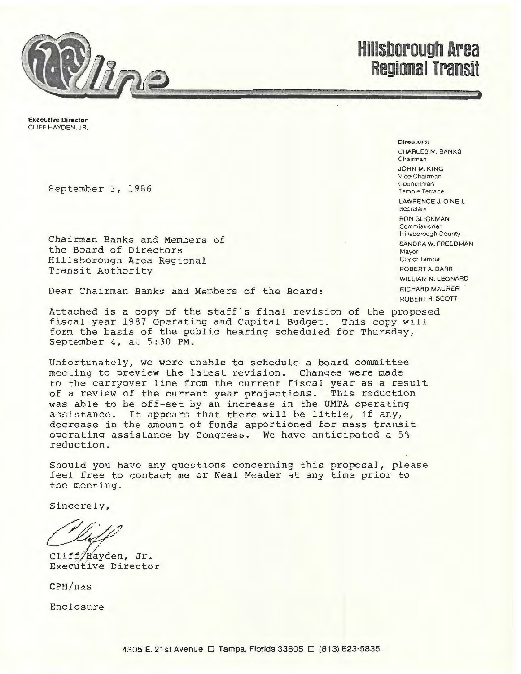

**Hillsborough Area Regional Transit** 

Executive Director CLIFF HAYDEN. JR.

September 3, 1986

Chairman Banks and Members of the Board of Directors Hillsborough Area Regional Transit Authority

Dear Chairman Banks and Members of the Board:

Attached is a copy of the staff's final revision of the proposed fiscal year 1987 Operating and Capital Budget. This copy will form the basis of the public hearing scheduled for Thursday, September 4, at 5:30 PM.

Unfortunately, we were unable to schedule a board committee meeting to preview the latest revision. Changes were made to the carryover line from the current fiscal year as a result of a review of the current year projections. This reduction was able to be off-set by an increase in the UMTA operating assistance. It appears that there will be little, if any, decrease in the amount of funds apportioned for mass transit operating assistance by Congress. We have anticipated a 5% reduction.

Should you have any questions concerning this proposal, please feel free to contact me or Neal Meader at any time prior to the meeting.

Sincerely,

Cliff/Hayden, Jr. Executive Director

CPH/nas

Enclosure

CHARLES M. BANKS Chairman JOHN M.KING Vice-Chairman

Directors:

Councilman Temple Terrace LAWRENCE J. O'NEIL

**Secretary** RON GLICKMAN Commissioner

Hillsborough County SANORA W. FREEDMAN Mayor City of Tampa ROBERT A DARR WILLIAM N. LEONARD RICHARD MAURER ROBERT R. SCOTT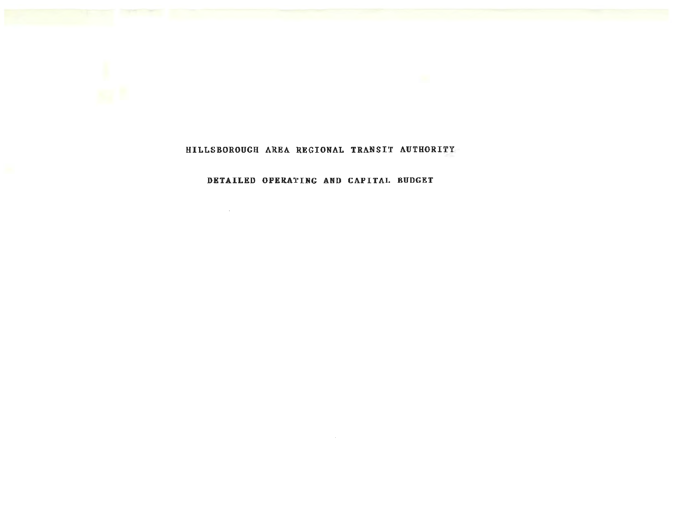

## HILLSBOROUGH AREA REGIONAL TRANSIT AUTHORITY

## DETAILED OPERATING AND CAPITAL BUDGET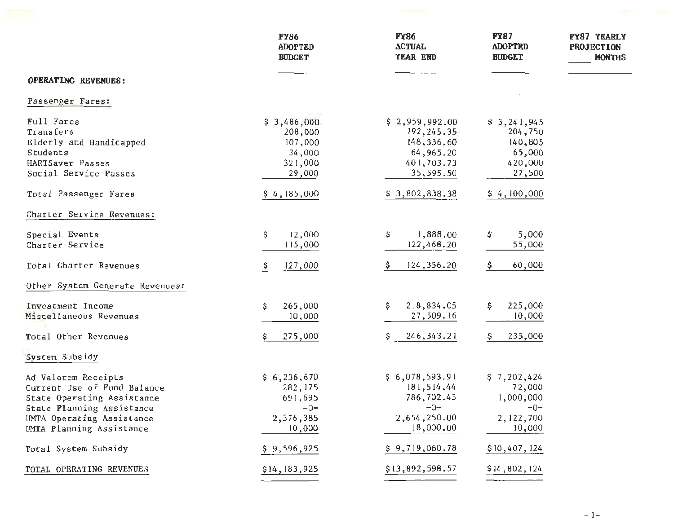|                                                                                                                                                                        | <b>FY86</b><br><b>ADOPTED</b><br><b>BUDGET</b>                     | <b>FY86</b><br><b>ACTUAL</b><br>YEAR END                                           | <b>FY87</b><br><b>ADOPTED</b><br><b>BUDGET</b>                     | FY87 YEARLY<br><b>PROJECTION</b><br><b>MONTHS</b> |
|------------------------------------------------------------------------------------------------------------------------------------------------------------------------|--------------------------------------------------------------------|------------------------------------------------------------------------------------|--------------------------------------------------------------------|---------------------------------------------------|
| OPERATING REVENUES:                                                                                                                                                    |                                                                    |                                                                                    |                                                                    |                                                   |
| Passenger Fares:                                                                                                                                                       |                                                                    |                                                                                    |                                                                    |                                                   |
| Full Fares<br>Transfers<br>Elderly and Handicapped<br>Students<br>HARTSaver Passes<br>Social Service Passes                                                            | \$3,486,000<br>208,000<br>107,000<br>34,000<br>321,000<br>29,000   | \$2,959,992.00<br>192,245.35<br>148,336.60<br>64,965.20<br>401,703.73<br>35,595.50 | \$3,241,945<br>204,750<br>140,805<br>65,000<br>420,000<br>27,500   |                                                   |
| Total Passenger Fares                                                                                                                                                  | \$4,185,000                                                        | \$3,802,838.38                                                                     | \$4,100,000                                                        |                                                   |
| Charter Service Revenues:                                                                                                                                              |                                                                    |                                                                                    |                                                                    |                                                   |
| Special Events<br>Charter Service                                                                                                                                      | 12,000<br>\$<br>115,000                                            | \$<br>1,888.00<br>122,468.20                                                       | \$<br>5,000<br>55,000                                              |                                                   |
| Total Charter Revenues                                                                                                                                                 | 127,000                                                            | 124, 356. 20                                                                       | 60,000                                                             |                                                   |
| Other System Generate Revenues:                                                                                                                                        |                                                                    |                                                                                    |                                                                    |                                                   |
| Investment Income<br>Miscellaneous Revenues                                                                                                                            | 265,000<br>\$<br>10,000                                            | \$<br>218,834.05<br>27,509.16                                                      | 225,000<br>10,000                                                  |                                                   |
| Total Other Revenues                                                                                                                                                   | 275,000                                                            | 246, 343. 21<br>S                                                                  | 235,000                                                            |                                                   |
| System Subsidy                                                                                                                                                         |                                                                    |                                                                                    |                                                                    |                                                   |
| Ad Valorem Receipts<br>Current Use of Fund Balance<br>State Operating Assistance<br>State Planning Assistance<br>UMTA Operating Assistance<br>UMTA Planning Assistance | \$6,236,670<br>282, 175<br>691,695<br>$-0-$<br>2,376,385<br>10,000 | \$6,078,593.91<br>181,514.44<br>786,702.43<br>$-0-$<br>2,654,250.00<br>18,000.00   | \$7,202,424<br>72,000<br>1,000,000<br>ーリー<br>2, 122, 700<br>10,000 |                                                   |
| Total System Subsidy                                                                                                                                                   | \$9,596,925                                                        | \$9,719,060.78                                                                     | \$10,407,124                                                       |                                                   |
| TOTAL OPERATING REVENUES                                                                                                                                               | \$14, 183, 925                                                     | \$13,892,598.57                                                                    | \$14,802,124                                                       |                                                   |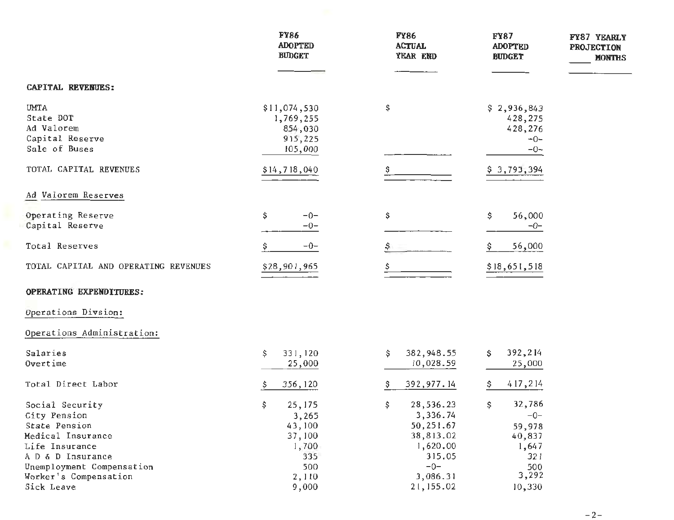|                                                                                                              | <b>FY86</b><br><b>ADOPTED</b><br><b>BUDGET</b>             | <b>FY86</b><br><b>ACTUAL</b><br>YEAR END                                            | <b>FY87</b><br><b>ADOPTED</b><br><b>BUDGET</b>                   | FY87 YEARLY<br><b>PROJECTION</b><br><b>MONTHS</b> |
|--------------------------------------------------------------------------------------------------------------|------------------------------------------------------------|-------------------------------------------------------------------------------------|------------------------------------------------------------------|---------------------------------------------------|
| <b>CAPITAL REVENUES:</b>                                                                                     |                                                            |                                                                                     |                                                                  |                                                   |
| <b>UMTA</b><br>State DOT<br>Ad Valorem<br>Capital Reserve<br>Sale of Buses                                   | \$11,074,530<br>1,769,255<br>854,030<br>915,225<br>105,000 | \$                                                                                  | \$2,936,843<br>428,275<br>428,276<br>$-0-$<br>$-0-$              |                                                   |
| TOTAL CAPITAL REVENUES                                                                                       | \$14,718,040                                               |                                                                                     | \$3,793,394                                                      |                                                   |
| Ad Valorem Reserves                                                                                          |                                                            |                                                                                     |                                                                  |                                                   |
| Operating Reserve<br>Capital Reserve                                                                         | \$<br>$-0-$<br>$-0-$                                       | \$                                                                                  | \$<br>56,000<br>$-0-$                                            |                                                   |
| Total Reserves                                                                                               | $-0-$                                                      |                                                                                     | 56,000                                                           |                                                   |
| TOTAL CAPITAL AND OPERATING REVENUES                                                                         | \$28,901,965                                               |                                                                                     | \$18,651,518                                                     |                                                   |
| OPERATING EXPENDITURES:                                                                                      |                                                            |                                                                                     |                                                                  |                                                   |
| Operations Divsion:                                                                                          |                                                            |                                                                                     |                                                                  |                                                   |
| Operations Administration:                                                                                   |                                                            |                                                                                     |                                                                  |                                                   |
| Salaries<br>Overtime                                                                                         | 331,120<br>\$<br>25,000                                    | 382,948.55<br>Ş<br>10,028.59                                                        | 392,214<br>S.<br>25,000                                          |                                                   |
| Total Direct Labor                                                                                           | 356, 120<br>Ş.                                             | 392,977.14                                                                          | 417,214                                                          |                                                   |
| Social Security<br>City Pension<br>State Pension<br>Medical Insurance<br>Life Insurance<br>A D & D Insurance | 25, 175<br>S.<br>3,265<br>43,100<br>37,100<br>1,700<br>335 | 28,536.23<br>s<br>3,336.74<br>50,251.67<br>38,813.02<br>1,620.00<br>315.05<br>$-0-$ | 32,786<br>S.<br>$-0-$<br>59,978<br>40,837<br>1,647<br>321<br>500 |                                                   |
| Unemployment Compensation<br>Worker's Compensation<br>Sick Leave                                             | 500<br>2,110<br>9,000                                      | 3,086.31<br>21, 155.02                                                              | 3,292<br>10,330                                                  |                                                   |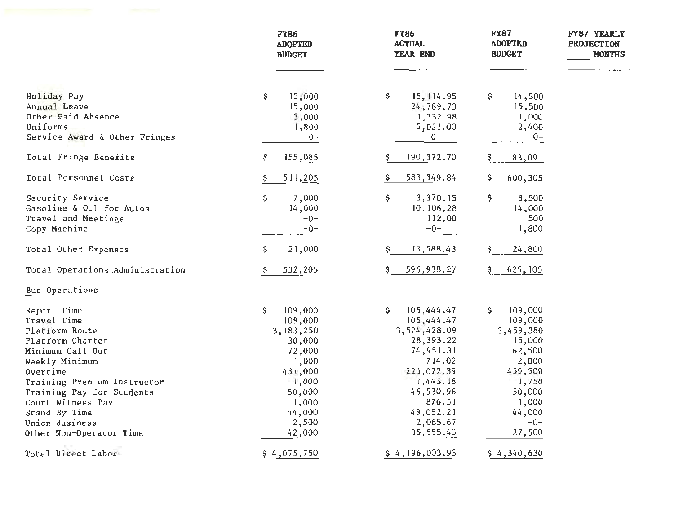|                                                                                     | <b>FY86</b><br><b>ADOPTED</b><br><b>BUDGET</b> | <b>FY86</b><br><b>ACTUAL</b><br>YEAR END        | <b>FY87</b><br><b>ADOPTED</b><br><b>BUDGET</b> | FY87 YEARLY<br><b>PROJECTION</b><br><b>MONTHS</b> |
|-------------------------------------------------------------------------------------|------------------------------------------------|-------------------------------------------------|------------------------------------------------|---------------------------------------------------|
| Holiday Pay<br>Annual Leave<br>Other Paid Absence                                   | \$<br>13,000<br>15,000<br>3,000                | \$<br>15, 114.95<br>24,789.73<br>1,332.98       | \$<br>14,500<br>15,500<br>1,000                |                                                   |
| Uniforms<br>Service Award & Other Fringes                                           | 1,800<br>$-0-$                                 | 2,021.00<br>$-0-$                               | 2,400<br>$-0-$                                 |                                                   |
| Total Fringe Benefits                                                               | 155,085                                        | 190,372.70<br>Ş.                                | 183,091                                        |                                                   |
| Total Personnel Costs                                                               | 511,205                                        | 583, 349.84                                     | 600,305                                        |                                                   |
| Security Service<br>Gasoline & Oil for Autos<br>Travel and Meetings<br>Copy Machine | 7,000<br>S.<br>14,000<br>$-0-$<br>$-0-$        | Ş.<br>3,370.15<br>10, 106.28<br>112,00<br>$-0-$ | S.<br>8,500<br>14,000<br>500<br>1,800          |                                                   |
| Total Other Expenses                                                                | 21,000                                         | 13,588.43<br>Ş                                  | 24,800                                         |                                                   |
| Total Operations Administration                                                     | 532,205                                        | 596,938.27                                      | 625, 105                                       |                                                   |
| Bus Operations                                                                      |                                                |                                                 |                                                |                                                   |
| Report Time                                                                         | 109,000<br>\$                                  | 105,444.47<br>Ş.                                | 109,000<br>Ş.                                  |                                                   |
| Travel Time                                                                         | 109,000                                        | 105,444.47                                      | 109,000                                        |                                                   |
| Platform Route                                                                      | 3,183,250                                      | 3,524,428.09                                    | 3,459,380                                      |                                                   |
| Platform Charter                                                                    | 30,000                                         | 28, 393. 22                                     | 15,000                                         |                                                   |
| Minimum Call Out                                                                    | 72,000                                         | 74,951.31                                       | 62,500                                         |                                                   |
| Weekly Minimum                                                                      | 1,000                                          | 714.02                                          | 2,000                                          |                                                   |
| Overtime                                                                            | 431,000                                        | 221,072.39                                      | 459,500                                        |                                                   |
| Training Premium Instructor                                                         | 1,000                                          | 1,445.18                                        | 1,750                                          |                                                   |
| Training Pay for Students                                                           | 50,000                                         | 46,530.96                                       | 50,000                                         |                                                   |
| Court Witness Pay                                                                   | 1,000                                          | 876.51                                          | 1,000                                          |                                                   |
| Stand By Time                                                                       | 44,000                                         | 49,082.21                                       | 44,000<br>$-0-$                                |                                                   |
| Union Business                                                                      | 2,500                                          | 2,065.67<br>35,555.43                           |                                                |                                                   |
| Other Non-Operator Time                                                             | 42,000                                         |                                                 | 27,500                                         |                                                   |
| Total Direct Labor                                                                  | \$4,075,750                                    | \$4,196,003.93                                  | \$4,340,630                                    |                                                   |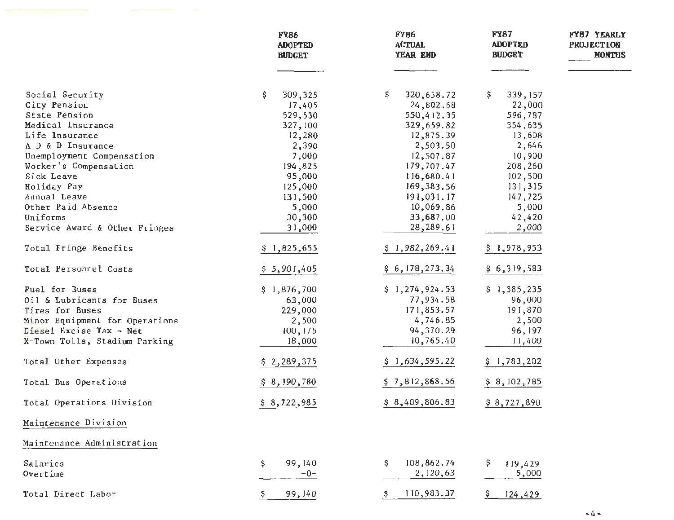|                                | <b>FY86</b><br><b>ADOPTED</b><br><b>BUDGET</b> | <b>FY86</b><br><b>ACTUAL</b><br>YEAR END | <b>FY87</b><br><b>ADOPTED</b><br><b>BUDGET</b> | FY87 YEARLY<br><b>PROJECTION</b><br><b>MONTHS</b> |
|--------------------------------|------------------------------------------------|------------------------------------------|------------------------------------------------|---------------------------------------------------|
| Social Security                | 309,325<br>\$.                                 | 320,658.72<br>\$.                        | 339, 157<br>\$.                                |                                                   |
| City Pension                   | 17,405                                         | 24,802.68                                | 22,000                                         |                                                   |
| State Pension                  | 529,530                                        | 550,412.35                               | 596,787                                        |                                                   |
| Medical Insurance              | 327, 100                                       | 329,659.82                               | 354,635                                        |                                                   |
| Life Insurance                 | 12,280                                         | 12,875.39                                | 13,608                                         |                                                   |
| A D & D Insurance              | 2,390                                          | 2,503.50                                 | 2,646                                          |                                                   |
| Unemployment Compensation      | 7,000                                          | 12,507.87                                | 10,900                                         |                                                   |
| Worker's Compensation          | 194,825                                        | 179,707.47                               | 208,260                                        |                                                   |
| Sick Leave                     | 95,000                                         | 116,680.41                               | 102,500                                        |                                                   |
| Holiday Pay                    | 125,000                                        | 169, 383.56                              | 131,315                                        |                                                   |
| Annual Leave                   | 131,500                                        | 191,031.17                               | 147,725                                        |                                                   |
| Other Paid Absence             | 5,000                                          | 10,069.86                                | 5,000                                          |                                                   |
| Uniforms                       | 30,300                                         | 33,687.00                                | 42,420                                         |                                                   |
| Service Award & Other Fringes  | 31,000                                         | 28,289.61                                | 2,000                                          |                                                   |
| Total Fringe Benefits          | \$1,825,655                                    | \$1,982,269.41                           | \$1,978,953                                    |                                                   |
| Total Personnel Costs          | \$5,901,405                                    | \$6,178,273.34                           | \$6,319,583                                    |                                                   |
| Fuel for Buses                 | \$1,876,700                                    | \$1,274,924.53                           | \$1,385,235                                    |                                                   |
| Oil & Lubricants for Buses     | 63,000                                         | 77,934.58                                | 96,000                                         |                                                   |
| Tires for Buses                | 229,000                                        | 171,853.57                               | 191,870                                        |                                                   |
| Minor Equipment for Operations | 2,500                                          | 4,746.85                                 | 2,500                                          |                                                   |
| Diesel Excise Tax - Net        | 100, 175                                       | 94,370.29                                | 96, 197                                        |                                                   |
| X-Town Tolls, Stadium Parking  | 18,000                                         | 10,765.40                                | 11,400                                         |                                                   |
| Total Other Expenses           | \$2,289,375                                    | \$1,634,595.22                           | \$1,783,202                                    |                                                   |
| Total Bus Operations           | \$8,190,780                                    | \$7,812,868.56                           | \$8, 102, 785                                  |                                                   |
| Total Operations Division      | \$8,722,985                                    | \$8,409,806.83                           | \$8,727,890                                    |                                                   |
| Maintenance Division           |                                                |                                          |                                                |                                                   |
| Maintenance Administration     |                                                |                                          |                                                |                                                   |
| Salaries<br>Overtime           | \$<br>99,140<br>$-0-$                          | 108,862.74<br>S.<br>2,120,63             | Ş<br>119,429<br>5,000                          |                                                   |
| Total Direct Labor             | 99,140                                         | 110,983.37<br>\$.                        | Ş.<br>124,429                                  |                                                   |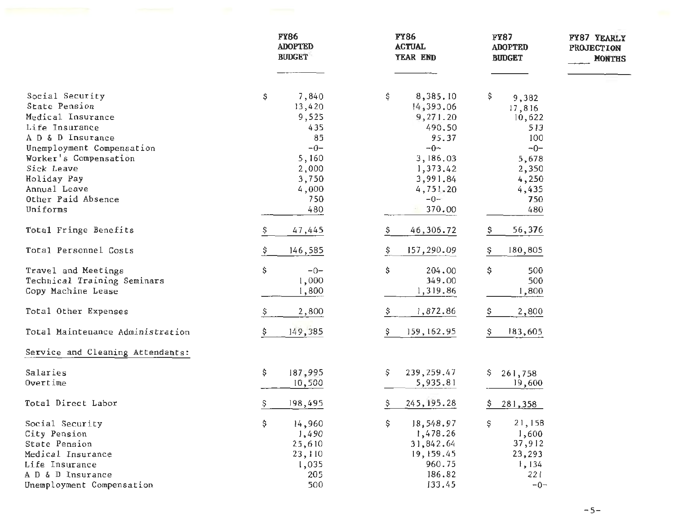|                                  | <b>FY86</b><br><b>ADOPTED</b><br><b>BUDGET</b> | <b>FY86</b><br><b>ACTUAL</b><br>YEAR END | <b>FY87</b><br><b>ADOPTED</b><br><b>BUDGET</b> | FY87 YEARLY<br><b>PROJECTION</b><br><b>MONTHS</b> |
|----------------------------------|------------------------------------------------|------------------------------------------|------------------------------------------------|---------------------------------------------------|
| Social Security                  | \$<br>7,840                                    | \$<br>8,385.10                           | \$                                             |                                                   |
| State Pension                    | 13,420                                         | 14,393.06                                | 9,382<br>17,816                                |                                                   |
| Medical Insurance                | 9,525                                          | 9,271.20                                 | 10,622                                         |                                                   |
| Life Insurance                   | 435                                            | 490.50                                   | 513                                            |                                                   |
| A D & D Insurance                | 85                                             | 95.37                                    | 100                                            |                                                   |
| Unemployment Compensation        | $-0-$                                          | $-0-$                                    | $-0-$                                          |                                                   |
| Worker's Compensation            | 5,160                                          | 3,186.03                                 | 5,678                                          |                                                   |
| Sick Leave                       | 2,000                                          | 1,373.42                                 | 2,350                                          |                                                   |
| Holiday Pay                      | 3,750                                          | 3,991.84                                 | 4,250                                          |                                                   |
| Annual Leave                     | 4,000                                          | 4,751.20                                 | 4,435                                          |                                                   |
| Other Paid Absence               | 750                                            | $-0-$                                    | 750                                            |                                                   |
| Uniforms                         | 480                                            | 370.00                                   | 480                                            |                                                   |
| Total Fringe Benefits            | 47,445<br>\$                                   | 46,306.72<br>\$                          | 56,376                                         |                                                   |
| Total Personnel Costs            | 146,585<br>\$                                  | 157,290.09<br>\$                         | 180,805<br>\$.                                 |                                                   |
| Travel and Meetings              | \$<br>$-0-$                                    | \$<br>204.00                             | \$<br>500                                      |                                                   |
| Technical Training Seminars      | 1,000                                          | 349.00                                   | 500                                            |                                                   |
| Copy Machine Lease               | 1,800                                          | 1,319.86                                 | 1,800                                          |                                                   |
| Total Other Expenses             | 2,800<br>Ş                                     | 1,872.86<br>\$                           | 2,800                                          |                                                   |
| Total Maintenance Administration | 149,385<br>\$.                                 | 159, 162.95<br>Ş.                        | 183,605<br>S                                   |                                                   |
| Service and Cleaning Attendants: |                                                |                                          |                                                |                                                   |
| Salaries                         | \$<br>187,995                                  | 239, 259.47<br>\$                        | Ş<br>261,758                                   |                                                   |
| Overtime                         | 10,500                                         | 5,935.81                                 | 19,600                                         |                                                   |
| Total Direct Labor               | \$<br>198,495                                  | \$<br>245, 195.28                        | \$.<br>281,358                                 |                                                   |
| Social Security                  | \$<br>14,960                                   | \$<br>18,548.97                          | 21,158<br>\$                                   |                                                   |
| City Pension                     | 1,490                                          | 1,478.26                                 | 1,600                                          |                                                   |
| State Pension                    | 25,610                                         | 31,842.64                                | 37,912                                         |                                                   |
| Medical Insurance                | 23,110                                         | 19,159.45                                | 23,293                                         |                                                   |
| Life Insurance                   | 1,035                                          | 960.75                                   | 1,134                                          |                                                   |
| A D & D Insurance                | 205                                            | 186.82                                   | 221                                            |                                                   |
| Unemployment Compensation        | 500                                            | 133.45                                   | $-0-$                                          |                                                   |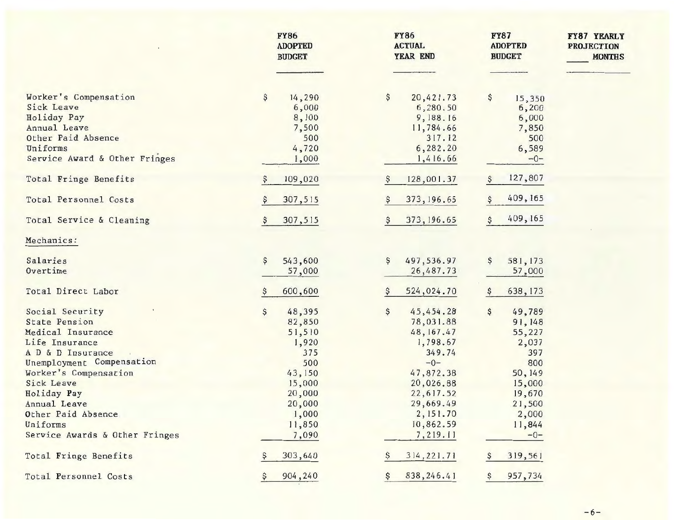|                                                                                                                                                                                                                                   | <b>FY86</b><br><b>ADOPTED</b><br><b>BUDGET</b>                                                           | <b>FY86</b><br><b>ACTUAL</b><br>YEAR END                                                                                                   | <b>FY87</b><br><b>ADOPTED</b><br><b>BUDGET</b>                                                            | FY87 YEARLY<br><b>PROJECTION</b><br><b>MONTHS</b> |
|-----------------------------------------------------------------------------------------------------------------------------------------------------------------------------------------------------------------------------------|----------------------------------------------------------------------------------------------------------|--------------------------------------------------------------------------------------------------------------------------------------------|-----------------------------------------------------------------------------------------------------------|---------------------------------------------------|
| Worker's Compensation<br>Sick Leave<br>Holiday Pay<br>Annual Leave<br>Other Paid Absence<br>Uniforms                                                                                                                              | \$<br>14,290<br>6,000<br>8,100<br>7,500<br>500<br>4,720                                                  | \$<br>20,421.73<br>6,280.50<br>9,188.16<br>11,784.66<br>317.12<br>6,282.20                                                                 | \$<br>15,350<br>6,200<br>6,000<br>7,850<br>500<br>6,589                                                   |                                                   |
| Service Award & Other Fringes                                                                                                                                                                                                     | 1,000                                                                                                    | 1,416.66                                                                                                                                   | $-0-$                                                                                                     |                                                   |
| Total Fringe Benefits                                                                                                                                                                                                             | 109,020                                                                                                  | 128,001.37                                                                                                                                 | 127,807                                                                                                   |                                                   |
| Total Personnel Costs                                                                                                                                                                                                             | 307,515                                                                                                  | 373, 196.65                                                                                                                                | 409, 165                                                                                                  |                                                   |
| Total Service & Cleaning                                                                                                                                                                                                          | 307,515                                                                                                  | 373, 196.65                                                                                                                                | 409, 165<br>\$                                                                                            |                                                   |
| Mechanics:                                                                                                                                                                                                                        |                                                                                                          |                                                                                                                                            |                                                                                                           |                                                   |
| Salaries<br>Overtime                                                                                                                                                                                                              | $\boldsymbol{\xi}$<br>543,600<br>57,000                                                                  | \$<br>497,536.97<br>26,487.73                                                                                                              | \$<br>581,173<br>57,000                                                                                   |                                                   |
| Total Direct Labor                                                                                                                                                                                                                | 600,600                                                                                                  | 524,024.70                                                                                                                                 | 638, 173                                                                                                  |                                                   |
| Social Security<br>State Pension<br>Medical Insurance<br>Life Insurance<br>A D & D Insurance<br>Unemployment Compensation<br>Worker's Compensation<br>Sick Leave<br>Holiday Pay<br>Annual Leave<br>Other Paid Absence<br>Uniforms | 48,395<br>\$<br>82,850<br>51,510<br>1,920<br>375<br>500<br>43,150<br>15,000<br>20,000<br>20,000<br>1,000 | \$<br>45,454.28<br>78,031.88<br>48, 167.47<br>1,798.67<br>349.74<br>$-0-$<br>47,872.38<br>20,026.88<br>22,617.52<br>29,669.49<br>2, 151.70 | \$<br>49,789<br>91,148<br>55,227<br>2,037<br>397<br>800<br>50, 149<br>15,000<br>19,670<br>21,500<br>2,000 |                                                   |
| Service Awards & Other Fringes                                                                                                                                                                                                    | 11,850<br>7,090                                                                                          | 10,862.59<br>7,219.11                                                                                                                      | 11,844<br>$-0-$                                                                                           |                                                   |
| Total Fringe Benefits                                                                                                                                                                                                             | 303,640                                                                                                  | 314, 221.71                                                                                                                                | 319,561                                                                                                   |                                                   |
| Total Personnel Costs                                                                                                                                                                                                             | 904,240                                                                                                  | 838, 246.41<br>Ş                                                                                                                           | 957,734                                                                                                   |                                                   |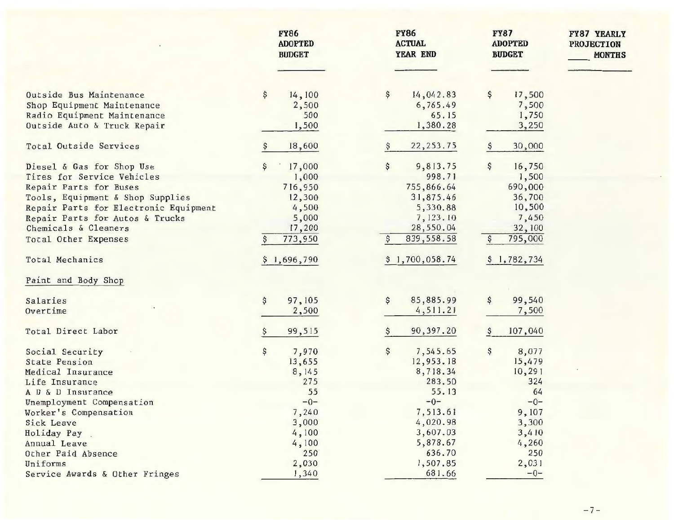|                                       | <b>FY86</b><br><b>ADOPTED</b><br><b>BUDGET</b> |             | <b>FY86</b><br><b>ACTUAL</b><br>YEAR END | <b>FY87</b><br><b>FY87 YEARLY</b><br><b>ADOPTED</b><br><b>PROJECTION</b><br><b>BUDGET</b> | <b>MONTHS</b> |
|---------------------------------------|------------------------------------------------|-------------|------------------------------------------|-------------------------------------------------------------------------------------------|---------------|
|                                       |                                                |             |                                          |                                                                                           |               |
| Outside Bus Maintenance               | \$<br>14,100                                   | \$          | 14,042.83<br>\$                          | 17,500                                                                                    |               |
| Shop Equipment Maintenance            |                                                | 2,500       | 6,765.49                                 | 7,500                                                                                     |               |
| Radio Equipment Maintenance           |                                                | 500         | 65.15                                    | 1,750                                                                                     |               |
| Outside Auto & Truck Repair           |                                                | 1,500       | 1,380.28                                 | 3,250                                                                                     |               |
| Total Outside Services                | 18,600                                         | \$          | 22, 253.75                               | 30,000                                                                                    |               |
| Diesel & Gas for Shop Use             | 17,000                                         | \$          | 9,813.75<br>\$                           | 16,750                                                                                    |               |
| Tires for Service Vehicles            |                                                | 1,000       | 998.71                                   | 1,500                                                                                     |               |
| Repair Parts for Buses                | 716,950                                        |             | 755,866.64                               | 690,000                                                                                   |               |
| Tools, Equipment & Shop Supplies      | 12,300                                         |             | 31,875.46                                | 36,700                                                                                    |               |
| Repair Parts for Electronic Equipment |                                                | 4,500       | 5,330.88                                 | 10,500                                                                                    |               |
| Repair Parts for Autos & Trucks       |                                                | 5,000       | 7,123.10                                 | 7,450                                                                                     |               |
| Chemicals & Cleaners                  | 17,200                                         |             | 28,550.04                                | 32,100                                                                                    |               |
| Total Other Expenses                  | 773,950                                        |             | 839, 558.58                              | 795,000                                                                                   |               |
| Total Mechanics                       | \$1,696,790                                    | Ş.          | 1,700,058.74                             | \$1,782,734                                                                               |               |
| Paint and Body Shop                   |                                                |             |                                          |                                                                                           |               |
| Salaries                              | 97, 105<br>\$                                  | \$          | 85,885.99<br>\$                          | 99,540                                                                                    |               |
| Overtime                              |                                                | 2,500       | 4,511.21                                 | 7,500                                                                                     |               |
| Total Direct Labor                    | 99,515                                         | Ş           | 90, 397.20<br>Ş                          | 107,040                                                                                   |               |
| Social Security                       | Ş                                              | 7,970<br>\$ | \$<br>7,545.65                           | 8,077                                                                                     |               |
| <b>State Pension</b>                  | 13,655                                         |             | 12,953.18                                | 15,479                                                                                    |               |
| Medical Insurance                     |                                                | 8, 145      | 8,718.34                                 | 10,291                                                                                    |               |
| Life Insurance                        |                                                | 275         | 283.50                                   | 324                                                                                       |               |
| A D & D Insurance                     |                                                | 55          | 55.13                                    | 64                                                                                        |               |
| Unemployment Compensation             |                                                | $-0-$       | $-0-$                                    | $-0-$                                                                                     |               |
| Worker's Compensation                 |                                                | 7,240       | 7,513.61                                 | 9,107                                                                                     |               |
| <b>Sick Leave</b>                     |                                                | 3,000       | 4,020.98                                 | 3,300                                                                                     |               |
| Holiday Pay                           |                                                | 4,100       | 3,607.03                                 | 3,410                                                                                     |               |
| Annual Leave                          |                                                | 4,100       | 5,878.67                                 | 4,260                                                                                     |               |
| Other Paid Absence                    |                                                | 250         | 636.70                                   | 250                                                                                       |               |
| Uniforms                              |                                                | 2,030       | 1,507.85                                 | 2,031                                                                                     |               |
| Service Awards & Other Fringes        |                                                | 1,340       | 681.66                                   | $-0-$                                                                                     |               |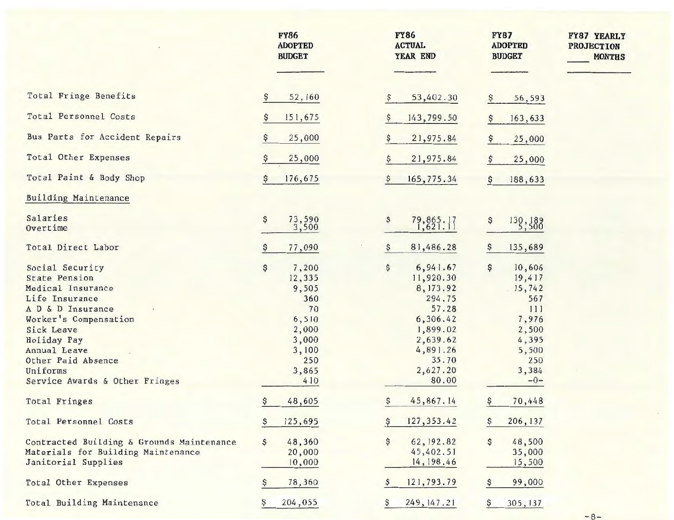|                                                                                                                                                                                                                                               | <b>FY86</b><br><b>ADOPTED</b><br><b>BUDGET</b>                                                        | <b>FY86</b><br><b>ACTUAL</b><br>YEAR END                                                                                                  | <b>FY87</b><br><b>ADOPTED</b><br><b>BUDGET</b>                                                             | FY87 YEARLY<br><b>PROJECTION</b><br><b>MONTHS</b> |
|-----------------------------------------------------------------------------------------------------------------------------------------------------------------------------------------------------------------------------------------------|-------------------------------------------------------------------------------------------------------|-------------------------------------------------------------------------------------------------------------------------------------------|------------------------------------------------------------------------------------------------------------|---------------------------------------------------|
| Total Fringe Benefits                                                                                                                                                                                                                         | 52,160                                                                                                | \$<br>53,402.30                                                                                                                           | 56,593                                                                                                     |                                                   |
| Total Personnel Costs                                                                                                                                                                                                                         | 151,675                                                                                               | \$<br>143,799.50                                                                                                                          | 163,633                                                                                                    |                                                   |
| Bus Parts for Accident Repairs                                                                                                                                                                                                                | 25,000                                                                                                | \$<br>21,975.84                                                                                                                           | 25,000                                                                                                     |                                                   |
| Total Other Expenses                                                                                                                                                                                                                          | 25,000                                                                                                | 21,975.84<br>\$                                                                                                                           | 25,000                                                                                                     |                                                   |
| Total Paint & Body Shop                                                                                                                                                                                                                       | 176,675<br>Ş                                                                                          | 165,775.34<br>Ş.                                                                                                                          | 188,633<br>Ş.                                                                                              |                                                   |
| Building Maintenance                                                                                                                                                                                                                          |                                                                                                       |                                                                                                                                           |                                                                                                            |                                                   |
| Salaries<br>Overtime                                                                                                                                                                                                                          | Ş<br>73,590<br>3,500                                                                                  | \$<br>79, 865. 17                                                                                                                         | Ş<br>130, 189                                                                                              |                                                   |
| Total Direct Labor                                                                                                                                                                                                                            | 77,090                                                                                                | 81,486.28<br>Ş                                                                                                                            | 135,689                                                                                                    |                                                   |
| Social Security<br><b>State Pension</b><br>Medical Insurance<br>Life Insurance<br>A D & D Insurance<br>Worker's Compensation<br>Sick Leave<br>Holiday Pay<br>Annual Leave<br>Other Paid Absence<br>Uniforms<br>Service Awards & Other Fringes | Ş<br>7,200<br>12,335<br>9,505<br>360<br>70<br>6,510<br>2,000<br>3,000<br>3,100<br>250<br>3,865<br>410 | \$<br>6,941.67<br>11,920.30<br>8, 173.92<br>294.75<br>57.28<br>6,306.42<br>1,899.02<br>2,639.62<br>4,891.26<br>35.70<br>2,627.20<br>80.00 | Ş<br>10,606<br>19,417<br>15,742<br>567<br>111<br>7,976<br>2,500<br>4,395<br>5,500<br>250<br>3,384<br>$-0-$ |                                                   |
| Total Fringes                                                                                                                                                                                                                                 | \$<br>48,605                                                                                          | \$<br>45,867.14                                                                                                                           | 70,448<br>\$                                                                                               |                                                   |
| Total Personnel Costs                                                                                                                                                                                                                         | 125,695<br>\$                                                                                         | \$<br>127, 353.42                                                                                                                         | 206, 137                                                                                                   |                                                   |
| Contracted Building & Grounds Maintenance<br>Materials for Building Maintenance<br>Janitorial Supplies                                                                                                                                        | 48,360<br>\$<br>20,000<br>10,000                                                                      | \$<br>62, 192.82<br>45,402.51<br>14, 198.46                                                                                               | 48,500<br>\$<br>35,000<br>15,500                                                                           |                                                   |
| Total Other Expenses                                                                                                                                                                                                                          | 78,360                                                                                                | 121,793.79                                                                                                                                | 99,000                                                                                                     |                                                   |
| Total Building Maintenance                                                                                                                                                                                                                    | 204,055                                                                                               | 249, 147.21                                                                                                                               | 305, 137<br>Ş                                                                                              |                                                   |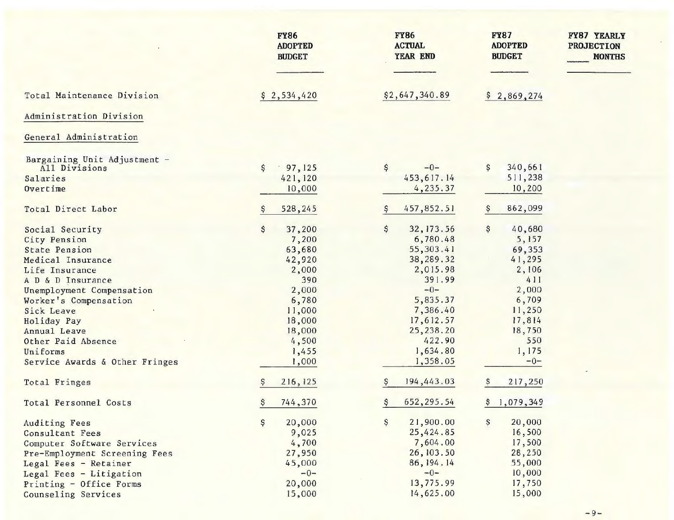| \$2,647,340.89<br>Total Maintenance Division<br>\$2,534,420<br>\$2,869,274<br>Administration Division<br>General Administration<br>Bargaining Unit Adjustment -<br>\$<br>\$<br>$-0-$<br>\$<br>340,661<br>97, 125<br>All Divisions<br>453, 617.14<br>511,238<br>Salaries<br>421,120<br>4,235.37<br>Overtime<br>10,000<br>10,200<br>Total Direct Labor<br>457,852.51<br>862,099<br>528,245<br>Ş<br>Ş<br>\$<br>\$<br>\$<br>37,200<br>32, 173.56<br>40,680<br>Social Security<br>6,780.48<br>5,157<br>7,200<br>City Pension<br>55, 303.41<br><b>State Pension</b><br>63,680<br>69,353<br>38,289.32<br>41,295<br>42,920<br>Medical Insurance<br>2,015.98<br>2,000<br>2,106<br>Life Insurance<br>391.99<br>390<br>411<br>A D & D Insurance<br>$-0-$<br>2,000<br>2,000<br>Unemployment Compensation<br>6,780<br>5,835.37<br>6,709<br>Worker's Compensation<br>7,386.40<br>11,250<br>11,000<br>Sick Leave<br>18,000<br>17,612.57<br>17,814<br>Holiday Pay<br>25,238.20<br>18,000<br>18,750<br>Annual Leave<br>422.90<br>550<br>Other Paid Absence<br>4,500<br>1,634.80<br>1,175<br>Uniforms<br>1,455<br>1,358.05<br>$-0-$<br>Service Awards & Other Fringes<br>1,000<br>194,443.03<br>216, 125<br>217,250<br>Total Fringes<br>\$<br>652, 295.54<br>744,370<br>\$<br>\$1,079,349<br>Total Personnel Costs<br>\$<br>20,000<br>21,900.00<br>20,000<br>\$<br>S<br>Auditing Fees<br>25,424.85<br>16,500<br>9,025<br>Consultant Fees<br>7,604.00<br>17,500<br>4,700<br>Computer Software Services<br>26, 103.50<br>28,250<br>27,950<br>Pre-Employment Screening Fees<br>86, 194. 14<br>55,000<br>45,000<br>Legal Fees - Retainer<br>$-0-$<br>10,000<br>$-0-$<br>Legal Fees - Litigation<br>13,775.99<br>20,000<br>17,750<br>Printing - Office Forms<br>15,000<br>14,625.00<br>15,000<br>Counseling Services | <b>FY86</b><br><b>ADOPTED</b><br><b>BUDGET</b> | <b>FY86</b><br><b>ACTUAL</b><br>YEAR END | <b>FY87</b><br><b>ADOPTED</b><br><b>BUDGET</b> | <b>FY87 YEARLY</b><br><b>PROJECTION</b><br><b>MONTHS</b> |
|-----------------------------------------------------------------------------------------------------------------------------------------------------------------------------------------------------------------------------------------------------------------------------------------------------------------------------------------------------------------------------------------------------------------------------------------------------------------------------------------------------------------------------------------------------------------------------------------------------------------------------------------------------------------------------------------------------------------------------------------------------------------------------------------------------------------------------------------------------------------------------------------------------------------------------------------------------------------------------------------------------------------------------------------------------------------------------------------------------------------------------------------------------------------------------------------------------------------------------------------------------------------------------------------------------------------------------------------------------------------------------------------------------------------------------------------------------------------------------------------------------------------------------------------------------------------------------------------------------------------------------------------------------------------------------------------------------------------------------------------------------------------------------------------------|------------------------------------------------|------------------------------------------|------------------------------------------------|----------------------------------------------------------|
|                                                                                                                                                                                                                                                                                                                                                                                                                                                                                                                                                                                                                                                                                                                                                                                                                                                                                                                                                                                                                                                                                                                                                                                                                                                                                                                                                                                                                                                                                                                                                                                                                                                                                                                                                                                               |                                                |                                          |                                                |                                                          |
|                                                                                                                                                                                                                                                                                                                                                                                                                                                                                                                                                                                                                                                                                                                                                                                                                                                                                                                                                                                                                                                                                                                                                                                                                                                                                                                                                                                                                                                                                                                                                                                                                                                                                                                                                                                               |                                                |                                          |                                                |                                                          |
|                                                                                                                                                                                                                                                                                                                                                                                                                                                                                                                                                                                                                                                                                                                                                                                                                                                                                                                                                                                                                                                                                                                                                                                                                                                                                                                                                                                                                                                                                                                                                                                                                                                                                                                                                                                               |                                                |                                          |                                                |                                                          |
|                                                                                                                                                                                                                                                                                                                                                                                                                                                                                                                                                                                                                                                                                                                                                                                                                                                                                                                                                                                                                                                                                                                                                                                                                                                                                                                                                                                                                                                                                                                                                                                                                                                                                                                                                                                               |                                                |                                          |                                                |                                                          |
|                                                                                                                                                                                                                                                                                                                                                                                                                                                                                                                                                                                                                                                                                                                                                                                                                                                                                                                                                                                                                                                                                                                                                                                                                                                                                                                                                                                                                                                                                                                                                                                                                                                                                                                                                                                               |                                                |                                          |                                                |                                                          |
|                                                                                                                                                                                                                                                                                                                                                                                                                                                                                                                                                                                                                                                                                                                                                                                                                                                                                                                                                                                                                                                                                                                                                                                                                                                                                                                                                                                                                                                                                                                                                                                                                                                                                                                                                                                               |                                                |                                          |                                                |                                                          |
|                                                                                                                                                                                                                                                                                                                                                                                                                                                                                                                                                                                                                                                                                                                                                                                                                                                                                                                                                                                                                                                                                                                                                                                                                                                                                                                                                                                                                                                                                                                                                                                                                                                                                                                                                                                               |                                                |                                          |                                                |                                                          |
|                                                                                                                                                                                                                                                                                                                                                                                                                                                                                                                                                                                                                                                                                                                                                                                                                                                                                                                                                                                                                                                                                                                                                                                                                                                                                                                                                                                                                                                                                                                                                                                                                                                                                                                                                                                               |                                                |                                          |                                                |                                                          |
|                                                                                                                                                                                                                                                                                                                                                                                                                                                                                                                                                                                                                                                                                                                                                                                                                                                                                                                                                                                                                                                                                                                                                                                                                                                                                                                                                                                                                                                                                                                                                                                                                                                                                                                                                                                               |                                                |                                          |                                                |                                                          |
|                                                                                                                                                                                                                                                                                                                                                                                                                                                                                                                                                                                                                                                                                                                                                                                                                                                                                                                                                                                                                                                                                                                                                                                                                                                                                                                                                                                                                                                                                                                                                                                                                                                                                                                                                                                               |                                                |                                          |                                                |                                                          |
|                                                                                                                                                                                                                                                                                                                                                                                                                                                                                                                                                                                                                                                                                                                                                                                                                                                                                                                                                                                                                                                                                                                                                                                                                                                                                                                                                                                                                                                                                                                                                                                                                                                                                                                                                                                               |                                                |                                          |                                                |                                                          |
|                                                                                                                                                                                                                                                                                                                                                                                                                                                                                                                                                                                                                                                                                                                                                                                                                                                                                                                                                                                                                                                                                                                                                                                                                                                                                                                                                                                                                                                                                                                                                                                                                                                                                                                                                                                               |                                                |                                          |                                                |                                                          |
|                                                                                                                                                                                                                                                                                                                                                                                                                                                                                                                                                                                                                                                                                                                                                                                                                                                                                                                                                                                                                                                                                                                                                                                                                                                                                                                                                                                                                                                                                                                                                                                                                                                                                                                                                                                               |                                                |                                          |                                                |                                                          |
|                                                                                                                                                                                                                                                                                                                                                                                                                                                                                                                                                                                                                                                                                                                                                                                                                                                                                                                                                                                                                                                                                                                                                                                                                                                                                                                                                                                                                                                                                                                                                                                                                                                                                                                                                                                               |                                                |                                          |                                                |                                                          |
|                                                                                                                                                                                                                                                                                                                                                                                                                                                                                                                                                                                                                                                                                                                                                                                                                                                                                                                                                                                                                                                                                                                                                                                                                                                                                                                                                                                                                                                                                                                                                                                                                                                                                                                                                                                               |                                                |                                          |                                                |                                                          |
|                                                                                                                                                                                                                                                                                                                                                                                                                                                                                                                                                                                                                                                                                                                                                                                                                                                                                                                                                                                                                                                                                                                                                                                                                                                                                                                                                                                                                                                                                                                                                                                                                                                                                                                                                                                               |                                                |                                          |                                                |                                                          |
|                                                                                                                                                                                                                                                                                                                                                                                                                                                                                                                                                                                                                                                                                                                                                                                                                                                                                                                                                                                                                                                                                                                                                                                                                                                                                                                                                                                                                                                                                                                                                                                                                                                                                                                                                                                               |                                                |                                          |                                                |                                                          |
|                                                                                                                                                                                                                                                                                                                                                                                                                                                                                                                                                                                                                                                                                                                                                                                                                                                                                                                                                                                                                                                                                                                                                                                                                                                                                                                                                                                                                                                                                                                                                                                                                                                                                                                                                                                               |                                                |                                          |                                                |                                                          |
|                                                                                                                                                                                                                                                                                                                                                                                                                                                                                                                                                                                                                                                                                                                                                                                                                                                                                                                                                                                                                                                                                                                                                                                                                                                                                                                                                                                                                                                                                                                                                                                                                                                                                                                                                                                               |                                                |                                          |                                                |                                                          |
|                                                                                                                                                                                                                                                                                                                                                                                                                                                                                                                                                                                                                                                                                                                                                                                                                                                                                                                                                                                                                                                                                                                                                                                                                                                                                                                                                                                                                                                                                                                                                                                                                                                                                                                                                                                               |                                                |                                          |                                                |                                                          |
|                                                                                                                                                                                                                                                                                                                                                                                                                                                                                                                                                                                                                                                                                                                                                                                                                                                                                                                                                                                                                                                                                                                                                                                                                                                                                                                                                                                                                                                                                                                                                                                                                                                                                                                                                                                               |                                                |                                          |                                                |                                                          |
|                                                                                                                                                                                                                                                                                                                                                                                                                                                                                                                                                                                                                                                                                                                                                                                                                                                                                                                                                                                                                                                                                                                                                                                                                                                                                                                                                                                                                                                                                                                                                                                                                                                                                                                                                                                               |                                                |                                          |                                                |                                                          |
|                                                                                                                                                                                                                                                                                                                                                                                                                                                                                                                                                                                                                                                                                                                                                                                                                                                                                                                                                                                                                                                                                                                                                                                                                                                                                                                                                                                                                                                                                                                                                                                                                                                                                                                                                                                               |                                                |                                          |                                                |                                                          |
|                                                                                                                                                                                                                                                                                                                                                                                                                                                                                                                                                                                                                                                                                                                                                                                                                                                                                                                                                                                                                                                                                                                                                                                                                                                                                                                                                                                                                                                                                                                                                                                                                                                                                                                                                                                               |                                                |                                          |                                                |                                                          |
|                                                                                                                                                                                                                                                                                                                                                                                                                                                                                                                                                                                                                                                                                                                                                                                                                                                                                                                                                                                                                                                                                                                                                                                                                                                                                                                                                                                                                                                                                                                                                                                                                                                                                                                                                                                               |                                                |                                          |                                                |                                                          |
|                                                                                                                                                                                                                                                                                                                                                                                                                                                                                                                                                                                                                                                                                                                                                                                                                                                                                                                                                                                                                                                                                                                                                                                                                                                                                                                                                                                                                                                                                                                                                                                                                                                                                                                                                                                               |                                                |                                          |                                                |                                                          |
|                                                                                                                                                                                                                                                                                                                                                                                                                                                                                                                                                                                                                                                                                                                                                                                                                                                                                                                                                                                                                                                                                                                                                                                                                                                                                                                                                                                                                                                                                                                                                                                                                                                                                                                                                                                               |                                                |                                          |                                                |                                                          |
|                                                                                                                                                                                                                                                                                                                                                                                                                                                                                                                                                                                                                                                                                                                                                                                                                                                                                                                                                                                                                                                                                                                                                                                                                                                                                                                                                                                                                                                                                                                                                                                                                                                                                                                                                                                               |                                                |                                          |                                                |                                                          |
|                                                                                                                                                                                                                                                                                                                                                                                                                                                                                                                                                                                                                                                                                                                                                                                                                                                                                                                                                                                                                                                                                                                                                                                                                                                                                                                                                                                                                                                                                                                                                                                                                                                                                                                                                                                               |                                                |                                          |                                                |                                                          |
|                                                                                                                                                                                                                                                                                                                                                                                                                                                                                                                                                                                                                                                                                                                                                                                                                                                                                                                                                                                                                                                                                                                                                                                                                                                                                                                                                                                                                                                                                                                                                                                                                                                                                                                                                                                               |                                                |                                          |                                                |                                                          |
|                                                                                                                                                                                                                                                                                                                                                                                                                                                                                                                                                                                                                                                                                                                                                                                                                                                                                                                                                                                                                                                                                                                                                                                                                                                                                                                                                                                                                                                                                                                                                                                                                                                                                                                                                                                               |                                                |                                          |                                                |                                                          |
|                                                                                                                                                                                                                                                                                                                                                                                                                                                                                                                                                                                                                                                                                                                                                                                                                                                                                                                                                                                                                                                                                                                                                                                                                                                                                                                                                                                                                                                                                                                                                                                                                                                                                                                                                                                               |                                                |                                          |                                                |                                                          |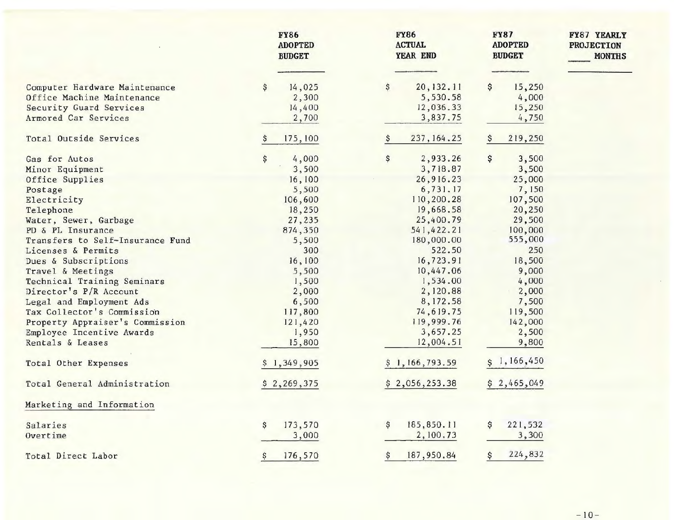|                                                                                                                                                                                                                                                                                                                                                                    | <b>FY86</b><br><b>ADOPTED</b><br><b>BUDGET</b>                                                                                                             | <b>FY86</b><br><b>ACTUAL</b><br>YEAR END                                                                                                                                                                                    | <b>FY87</b><br><b>ADOPTED</b><br><b>BUDGET</b>                                                                                                                          | <b>FY87 YEARLY</b><br><b>PROJECTION</b><br><b>MONTHS</b> |
|--------------------------------------------------------------------------------------------------------------------------------------------------------------------------------------------------------------------------------------------------------------------------------------------------------------------------------------------------------------------|------------------------------------------------------------------------------------------------------------------------------------------------------------|-----------------------------------------------------------------------------------------------------------------------------------------------------------------------------------------------------------------------------|-------------------------------------------------------------------------------------------------------------------------------------------------------------------------|----------------------------------------------------------|
| Computer Hardware Maintenance<br>Office Machine Maintenance<br>Security Guard Services<br>Armored Car Services                                                                                                                                                                                                                                                     | 14,025<br>\$<br>2,300<br>14,400<br>2,700                                                                                                                   | 20, 132. 11<br>\$.<br>5,530.58<br>12,036.33<br>3,837.75                                                                                                                                                                     | 15,250<br>s<br>4,000<br>15,250<br>4,750                                                                                                                                 |                                                          |
| Total Outside Services                                                                                                                                                                                                                                                                                                                                             | 175,100                                                                                                                                                    | 237, 164.25                                                                                                                                                                                                                 | 219,250                                                                                                                                                                 |                                                          |
| Gas for Autos<br>Minor Equipment<br>Office Supplies<br>Postage<br>Electricity<br>Telephone<br>Water, Sewer, Garbage<br>PD & PL Insurance<br>Transfers to Self-Insurance Fund<br>Licenses & Permits<br>Dues & Subscriptions<br>Travel & Meetings<br>Technical Training Seminars<br>Director's P/R Account<br>Legal and Employment Ads<br>Tax Collector's Commission | \$<br>4,000<br>3,500<br>16,100<br>5,500<br>106,600<br>18,250<br>27,235<br>874,350<br>5,500<br>300<br>16,100<br>5,500<br>1,500<br>2,000<br>6,500<br>117,800 | \$<br>2,933.26<br>3,718.87<br>26,916.23<br>6,731.17<br>110,200.28<br>19,668.58<br>25,400.79<br>541,422.21<br>180,000.00<br>522.50<br>16,723.91<br>10,447.06<br>1,534.00<br>2,120.88<br>8, 172.58<br>74,619.75<br>119,999.76 | \$<br>3,500<br>3,500<br>25,000<br>7,150<br>107,500<br>20,250<br>29,500<br>100,000<br>555,000<br>250<br>18,500<br>9,000<br>4,000<br>2,000<br>7,500<br>119,500<br>142,000 |                                                          |
| Property Appraiser's Commission<br>Employee Incentive Awards                                                                                                                                                                                                                                                                                                       | 121,420<br>1,950                                                                                                                                           | 3,657.25                                                                                                                                                                                                                    | 2,500                                                                                                                                                                   |                                                          |
| Rentals & Leases                                                                                                                                                                                                                                                                                                                                                   | 15,800                                                                                                                                                     | 12,004.51                                                                                                                                                                                                                   | 9,800                                                                                                                                                                   |                                                          |
| <b>Total Other Expenses</b>                                                                                                                                                                                                                                                                                                                                        | \$1,349,905                                                                                                                                                | \$1, 166, 793.59                                                                                                                                                                                                            | 1,166,450                                                                                                                                                               |                                                          |
| Total General Administration                                                                                                                                                                                                                                                                                                                                       | \$2,269,375                                                                                                                                                | \$2,056,253.38                                                                                                                                                                                                              | \$2,465,049                                                                                                                                                             |                                                          |
| Marketing and Information                                                                                                                                                                                                                                                                                                                                          |                                                                                                                                                            |                                                                                                                                                                                                                             |                                                                                                                                                                         |                                                          |
| Salaries<br>Overtime                                                                                                                                                                                                                                                                                                                                               | 173,570<br>\$<br>3,000                                                                                                                                     | 185,850.11<br>\$<br>2,100.73                                                                                                                                                                                                | 221,532<br>\$<br>3,300                                                                                                                                                  |                                                          |
| Total Direct Labor                                                                                                                                                                                                                                                                                                                                                 | 176,570<br>Ş                                                                                                                                               | 187,950.84<br>\$                                                                                                                                                                                                            | 224,832                                                                                                                                                                 |                                                          |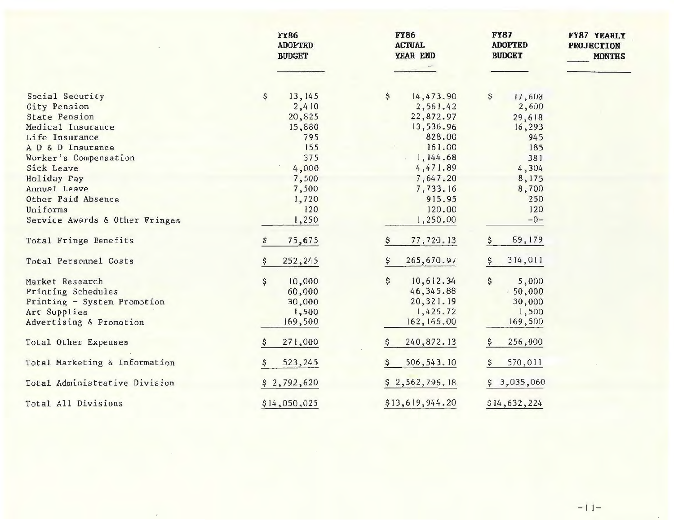|                                | <b>FY86</b><br><b>ADOPTED</b><br><b>BUDGET</b> | <b>FY86</b><br><b>ACTUAL</b><br>YEAR END | <b>FY87</b><br><b>ADOPTED</b><br><b>BUDGET</b> | <b>FY87 YEARLY</b><br><b>PROJECTION</b><br><b>MONTHS</b> |
|--------------------------------|------------------------------------------------|------------------------------------------|------------------------------------------------|----------------------------------------------------------|
|                                |                                                |                                          |                                                |                                                          |
| Social Security                | 13, 145<br>\$                                  | 14,473.90<br>\$                          | \$<br>17,608                                   |                                                          |
| City Pension                   | 2,410                                          | 2,561.42                                 | 2,600                                          |                                                          |
| <b>State Pension</b>           | 20,825                                         | 22,872.97                                | 29,618                                         |                                                          |
| Medical Insurance              | 15,880                                         | 13,536.96                                | 16,293                                         |                                                          |
| Life Insurance                 | 795                                            | 828.00                                   | 945                                            |                                                          |
| A D & D Insurance              | 155                                            | 161.00                                   | 185                                            |                                                          |
| Worker's Compensation          | 375                                            | 1,144.68                                 | 381                                            |                                                          |
| Sick Leave                     | 4,000                                          | 4,471.89                                 | 4,304                                          |                                                          |
| Holiday Pay                    | 7,500                                          | 7,647.20                                 | 8,175                                          |                                                          |
| Annual Leave                   | 7,500                                          | 7,733.16                                 | 8,700                                          |                                                          |
| Other Paid Absence             | 1,720                                          | 915.95                                   | 250                                            |                                                          |
| Uniforms                       | 120                                            | 120.00                                   | 120                                            |                                                          |
| Service Awards & Other Fringes | 1,250                                          | 1,250.00                                 | $-0-$                                          |                                                          |
| Total Fringe Benefits          | 75,675                                         | 77,720.13<br>\$                          | 89, 179                                        |                                                          |
| Total Personnel Costs          | 252,245                                        | 265,670.97<br>\$                         | 314,011                                        |                                                          |
| Market Research                | 10,000<br>\$                                   | \$<br>10,612.34                          | \$<br>5,000                                    |                                                          |
| Printing Schedules             | 60,000                                         | 46, 345.88                               | 50,000                                         |                                                          |
| Printing - System Promotion    | 30,000                                         | 20,321.19                                | 30,000                                         |                                                          |
| Art Supplies                   | 1,500                                          | 1,426.72                                 | 1,500                                          |                                                          |
| Advertising & Promotion        | 169,500                                        | 162, 166.00                              | 169,500                                        |                                                          |
| Total Other Expenses           | 271,000                                        | 240,872.13<br>Ş                          | 256,000                                        |                                                          |
| Total Marketing & Information  | 523,245                                        | 506, 543. 10                             | 570,011                                        |                                                          |
| Total Administrative Division  | \$2,792,620                                    | \$2,562,796.18                           | \$3,035,060                                    |                                                          |
| Total All Divisions            | \$14,050,025                                   | \$13,619,944.20                          | \$14,632,224                                   |                                                          |